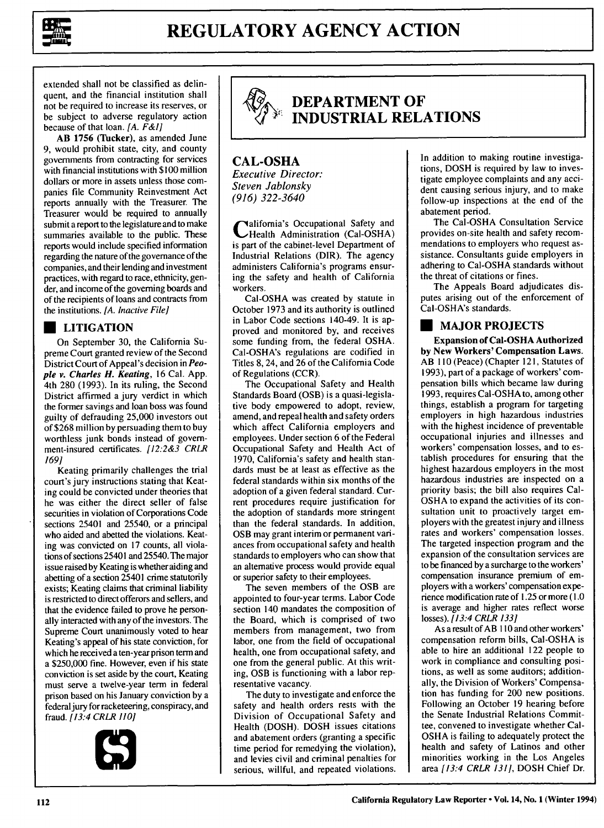

extended shall not be classified as delinquent, and the financial institution shall not be required to increase its reserves, or be subject to adverse regulatory action because of that loan. *[A. F&I]*

**AB 1756 (Tucker),** as amended June **9,** would prohibit state, city, and county governments from contracting for services with financial institutions with \$100 million dollars or more in assets unless those companies file Community Reinvestment Act reports annually with the Treasurer. The Treasurer would be required to annually submit a report to the legislature and to make summaries available to the public. These reports would include specified information regarding the nature of the governance of the companies, and their lending and investment practices, with regard to race, ethnicity, gender, and income of the governing boards and of the recipients of loans and contracts from the institutions. *[A. Inactive File]*

#### **\* LITIGATION**

On September **30,** the California Supreme Court granted review of the Second District Court of Appeal's decision in *People v. Charles H. Keating,* **16** Cal. **App.** 4th **280 (1993).** In its ruling, the Second District affirmed a jury verdict in which the former savings and loan boss was found guilty of defrauding **25,000** investors out of **\$268** million by persuading them to buy worthless junk bonds instead of government-insured certificates. **[12:2&3 CRLR** *169]*

Keating primarily challenges the trial court's jury instructions stating that Keating could be convicted under theories that he was either the direct seller of false securities in violation of Corporations Code sections 25401 and 25540, or a principal who aided and abetted the violations. Keating was convicted on **17** counts, all violations of sections 25401 and 25540. The major issue raised **by** Keating is whether aiding and abetting of a section 25401 crime statutorily exists; Keating claims that criminal liability is restricted to direct offerors and sellers, and that the evidence failed to prove he personally interacted with any of the investors. The Supreme Court unanimously voted to hear Keating's appeal of his state conviction, for which he received a ten-year prison term and a **\$250,000** fine. However, even if his state conviction is set aside **by** the court, Keating must serve a twelve-year term in federal prison based on his January conviction **by** a federal jury for racketeering, conspiracy, and fraud. *[13:4* CRLR 110]





# **DEPARTMENT OF** *5* **INDUSTRIAL RELATIONS**

#### **CAL-OSHA** *Executive Director: Steven Jablonsky (916) 322-3640*

**C** alifornia's Occupational Safety and Health Administration (Cal-OSHA) is part of the cabinet-level Department of Industrial Relations (DIR). The agency administers California's programs ensuring the safety and health of California workers.

Cal-OSHA was created **by** statute in October **1973** and its authority is outlined in Labor Code sections 140-49. It is approved and monitored **by,** and receives some funding from, the federal **OSHA.** Cal-OSHA's regulations are codified in Titles **8,** 24, and 26 of the California Code of Regulations (CCR).

The Occupational Safety and Health Standards Board (OSB) is a quasi-legislative body empowered to adopt, review, amend, and repeal health and safety orders which affect California employers and employees. Under section 6 of the Federal Occupational Safety and Health Act of **1970,** California's safety and health standards must be at least as effective as the federal standards within six months of the adoption of a given federal standard. Current procedures require justification for the adoption of standards more stringent than the federal standards. In addition, OSB may grant interim or permanent variances from occupational safety and health standards to employers who can show that an alternative process would provide equal or superior safety to their employees.

The seven members of the OSB are appointed to four-year terms. Labor Code section 140 mandates the composition of the Board, which is comprised of two members from management, two from labor, one from the field of occupational health, one from occupational safety, and one from the general public. At this writing, OSB is functioning with a labor representative vacancy.

The duty to investigate and enforce the safety and health orders rests with the Division of Occupational Safety and Health (DOSH). DOSH issues citations and abatement orders (granting a specific time period for remedying the violation), and levies civil and criminal penalties for serious, willful, and repeated violations.

In addition to making routine investigations, DOSH is required by law to investigate employee complaints and any accident causing serious injury, and to make follow-up inspections at the end of the abatement period.

The Cal-OSHA Consultation Service provides on-site health and safety recommendations to employers who request assistance. Consultants guide employers in adhering to Cal-OSHA standards without the threat of citations or fines.

The Appeals Board adjudicates disputes arising out of the enforcement of Cal-OSHA's standards.

### **\*MAJOR PROJECTS**

**Expansion of Cal-OSHA Authorized by New Workers' Compensation Laws.** AB **110** (Peace) (Chapter 121, Statutes of **1993),** part of a package of workers' compensation bills which became law during **1993,** requires Cal-OSHA to, among other things, establish a program for targeting employers in high hazardous industries with the highest incidence of preventable occupational injuries and illnesses and workers' compensation losses, and to establish procedures for ensuring that the highest hazardous employers in the most hazardous industries are inspected on a priority basis; the bill also requires Cal-OSHA to expand the activities of its consultation unit to proactively target employers with the greatest injury and illness rates and workers' compensation losses. The targeted inspection program and the expansion of the consultation services are to be financed by a surcharge to the workers' compensation insurance premium of employers with a workers' compensation experience modification rate of 1.25 or more (1.0 is average and higher rates reflect worse losses). [13:4 CRLR 133]

As a result of AB **I10** and other workers' compensation reform bills, Cal-OSHA is able to hire an additional 122 people to work in compliance and consulting positions, as well as some auditors; additionally, the Division of Workers' Compensation has funding for 200 new positions. Following an October 19 hearing before the Senate Industrial Relations Committee, convened to investigate whether Cal-OSHA is failing to adequately protect the health and safety of Latinos and other minorities working in the Los Angeles area [13:4 CRLR 131], DOSH Chief Dr.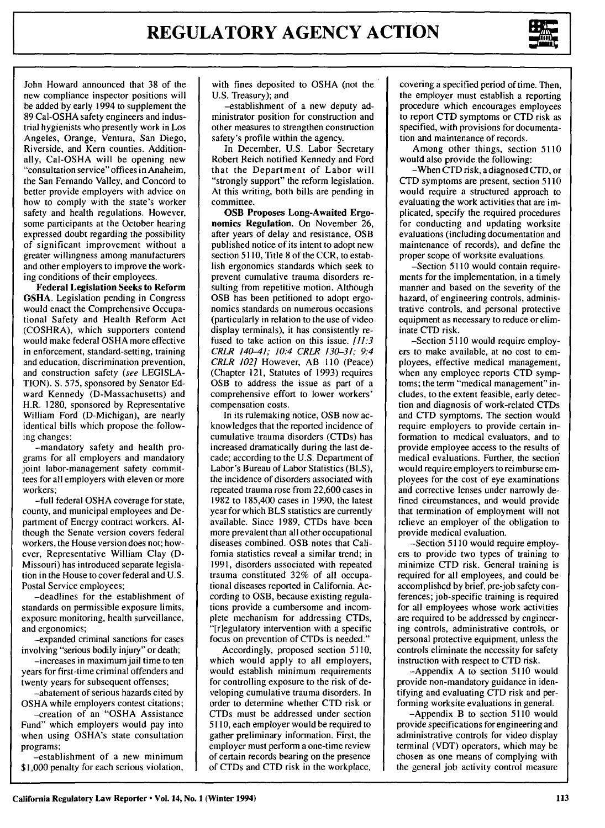

John Howard announced that 38 of the new compliance inspector positions will be added by early 1994 to supplement the 89 Cal-OSHA safety engineers and industrial hygienists who presently work in Los Angeles, Orange, Ventura, San Diego, Riverside, and Kern counties. Additionally, Cal-OSHA will be opening new "consultation service" offices in Anaheim, the San Fernando Valley, and Concord to better provide employers with advice on how to comply with the state's worker safety and health regulations. However, some participants at the October hearing expressed doubt regarding the possibility of significant improvement without a greater willingness among manufacturers and other employers to improve the working conditions of their employees.

**Federal Legislation Seeks to Reform OSHA.** Legislation pending in Congress would enact the Comprehensive Occupational Safety and Health Reform Act (COSHRA), which supporters contend would make federal **OSHA** more effective in enforcement, standard-setting, training and education, discrimination prevention, and construction safety (see **LEGISLA-TION). S.** 575, sponsored **by** Senator **Ed**ward Kennedy (D-Massachusetts) and H.R. **1280,** sponsored **by** Representative William Ford (D-Michigan), are nearly identical bills which propose the following changes:

-mandatory safety and health programs for all employers and mandatory joint labor-management safety committees for all employers with eleven or more workers;

-full federal **OSHA** coverage for state, county, and municipal employees and Department of Energy contract workers. **Al**though the Senate version covers federal workers, the House version does not; however, Representative William Clay **(D-**Missouri) has introduced separate legislation in the House to cover federal and **U.S.** Postal Service employees;

-deadlines for the establishment of standards on permissible exposure limits, exposure monitoring, health surveillance, and ergonomics;

-expanded criminal sanctions for cases involving "serious bodily injury" or death;

-increases in maximum jail time to ten years for first-time criminal offenders and twenty years for subsequent offenses;

-abatement of serious hazards cited **by OSHA** while employers contest citations;

-creation of an **"OSHA** Assistance Fund" which employers would pay into when using OSHA's state consultation programs;

-establishment of a new minimum **\$1,000** penalty for each serious violation,

with fines deposited to OSHA (not the U.S. Treasury); and

-establishment of a new deputy administrator position for construction and other measures to strengthen construction safety's profile within the agency.

In December, U.S. Labor Secretary Robert Reich notified Kennedy and Ford that the Department of Labor will "strongly support" the reform legislation. At this writing, both bills are pending in committee.

**OSB Proposes Long-Awaited Ergonomics Regulation. On** November **26,** after years of delay and resistance, OSB published notice of its intent to adopt new section **5110,** Title **8** of the CCR, to establish ergonomics standards which seek to prevent cumulative trauma disorders resulting from repetitive motion. Although OSB has been petitioned to adopt ergonomics standards on numerous occasions (particularly in relation to the use of video display terminals), it has consistently refused to take action on this issue. *[11:3 CRLR 140-41; 10:4 CRLR 130-31; 9:4 CRLR 102]* However, AB **110** (Peace) (Chapter 121, Statutes of **1993)** requires OSB to address the issue as part of a comprehensive effort to lower workers' compensation costs.

In its rulemaking notice, OSB now acknowledges that the reported incidence of cumulative trauma disorders (CTDs) has increased dramatically during the last decade; according to the **U.S.** Department of Labor's Bureau of Labor Statistics (BLS), the incidence of disorders associated with repeated trauma rose from **22,600** cases in **1982** to 185,400 cases in **1990,** the latest year for which BLS statistics are currently available. Since **1989,** CTDs have been more prevalent than all other occupational diseases combined. OSB notes that California statistics reveal a similar trend; in **1991,** disorders associated with repeated trauma constituted **32%** of all occupational diseases reported in California. According to OSB, because existing regulations provide a cumbersome and incomplete mechanism for addressing CTDs, "[r]egulatory intervention with a specific focus on prevention of CTDs is needed."

Accordingly, proposed section 5110, which would apply to all employers, would establish minimum requirements for controlling exposure to the risk of developing cumulative trauma disorders. In order to determine whether CTD risk or CTDs must be addressed under section 5110, each employer would be required to gather preliminary information. First, the employer must perform a one-time review of certain records bearing on the presence of CTDs and CTD risk in the workplace,

covering a specified period of time. Then, the employer must establish a reporting procedure which encourages employees to report CTD symptoms or CTD risk as specified, with provisions for documentation and maintenance of records.

Among other things, section 5110 would also provide the following:

-When CTD risk, a diagnosed CTD, or CTD symptoms are present, section 5110 would require a structured approach to evaluating the work activities that are implicated, specify the required procedures for conducting and updating worksite evaluations (including documentation and maintenance of records), and define the proper scope of worksite evaluations.

-Section 5110 would contain requirements for the implementation, in a timely manner and based on the severity of the hazard, of engineering controls, administrative controls, and personal protective equipment as necessary to reduce or eliminate CTD risk.

-Section 5110 would require employers to make available, at no cost to employees, effective medical management, when any employee reports CTD symptoms; the term "medical management" includes, to the extent feasible, early detection and diagnosis of work-related CTDs and CTD symptoms. The section would require employers to provide certain information to medical evaluators, and to provide employee access to the results of medical evaluations. Further, the section would require employers to reimburse employees for the cost of eye examinations and corrective lenses under narrowly defined circumstances, and would provide that termination of employment will not relieve an employer of the obligation to provide medical evaluation.

-Section 5110 would require employers to provide two types of training to minimize CTD risk. General training is required for all employees, and could be accomplished by brief, pre-job safety conferences; job-specific training is required for all employees whose work activities are required to be addressed by engineering controls, administrative controls, or personal protective equipment, unless the controls eliminate the necessity for safety instruction with respect to CTD risk.

-Appendix A to section 5110 would provide non-mandatory guidance in identifying and evaluating CTD risk and performing worksite evaluations in general.

-Appendix B to section 5110 would provide specifications for engineering and administrative controls for video display terminal (VDT) operators, which may be chosen as one means of complying with the general job activity control measure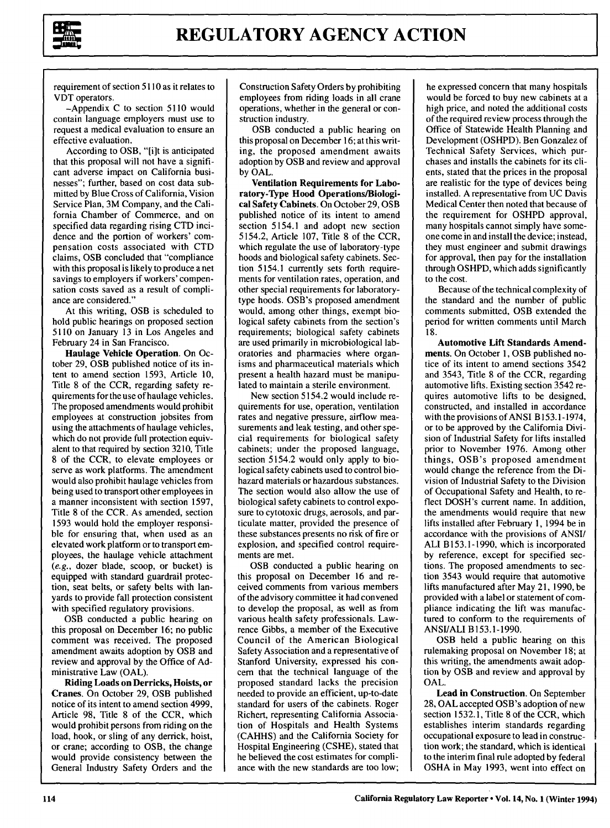

requirement of section 5110 as it relates to VDT operators.

-Appendix C to section 5110 would contain language employers must use to request a medical evaluation to ensure an effective evaluation.

According to OSB, "[i]t is anticipated that this proposal will not have a significant adverse impact on California businesses"; further, based on cost data submitted by Blue Cross of California, Vision Service Plan, 3M Company, and the California Chamber of Commerce, and on specified data regarding rising CTD incidence and the portion of workers' compensation costs associated with CTD claims, OSB concluded that "compliance with this proposal is likely to produce a net savings to employers if workers' compensation costs saved as a result of compliance are considered."

At this writing, OSB is scheduled to hold public hearings on proposed section 5110 on January 13 in Los Angeles and February 24 in San Francisco.

Haulage Vehicle Operation. On October 29, OSB published notice of its intent to amend section 1593, Article 10, Title 8 of the CCR, regarding safety requirements for the use of haulage vehicles. The proposed amendments would prohibit employees at construction jobsites from using the attachments of haulage vehicles, which do not provide full protection equivalent to that required by section 3210, Title 8 of the CCR, to elevate employees or serve as work platforms. The amendment would also prohibit haulage vehicles from being used to transport other employees in a manner inconsistent with section 1597, Title 8 of the CCR. As amended, section 1593 would hold the employer responsible for ensuring that, when used as an elevated work platform or to transport employees, the haulage vehicle attachment (e.g., dozer blade, scoop, or bucket) is equipped with standard guardrail protection, seat belts, or safety belts with lanyards to provide fall protection consistent with specified regulatory provisions.

OSB conducted a public hearing on this proposal on December 16; no public comment was received. The proposed amendment awaits adoption by OSB and review and approval by the Office of **Ad**ministrative Law (OAL).

**Riding Loads on** Derricks, Hoists, or Cranes. On October **29,** OSB published notice of its intent to amend section 4999, Article **98,** Title **8** of the CCR, which would prohibit persons from riding on the load, hook, or sling of any derrick, hoist, or crane; according to OSB, the change would provide consistency between the General Industry Safety Orders and the

Construction Safety Orders by prohibiting employees from riding loads in all crane operations, whether in the general or construction industry.

OSB conducted a public hearing on this proposal on December 16; at this writing, the proposed amendment awaits adoption by OSB and review and approval by OAL.

Ventilation Requirements for Laboratory-Type Hood Operations/Biological Safety Cabinets. On October **29,** OSB published notice of its intent to amend section 5154.1 and adopt new section 5154.2, Article **107,** Title **8** of the CCR, which regulate the use of laboratory-type hoods and biological safety cabinets. Section 5154.1 currently sets forth requirements for ventilation rates, operation, and other special requirements for laboratorytype hoods. OSB's proposed amendment would, among other things, exempt biological safety cabinets from the section's requirements; biological safety cabinets are used primarily in microbiological laboratories and pharmacies where organisms and pharmaceutical materials which present a health hazard must be manipulated to maintain a sterile environment.

New section 5154.2 would include requirements for use, operation, ventilation rates and negative pressure, airflow measurements and leak testing, and other special requirements for biological safety cabinets; under the proposed language, section 5154.2 would only apply to biological safety cabinets used to control biohazard materials or hazardous substances. The section would also allow the use of biological safety cabinets to control exposure to cytotoxic drugs, aerosols, and particulate matter, provided the presence **of** these substances presents no risk of fire or explosion, and specified control requirements are met.

OSB conducted a public hearing on this proposal on December 16 and received comments from various members of the advisory committee it had convened to develop the proposal, as well as from various health safety professionals. Lawrence Gibbs, a member of the Executive Council of the American Biological Safety Association and a representative of Stanford University, expressed his concem that the technical language of the proposed standard lacks the precision needed to provide an efficient, up-to-date standard for users of the cabinets. Roger Richert, representing California Association of Hospitals and Health Systems (CAHHS) and the California Society for Hospital Engineering (CSHE), stated that he believed the cost estimates for compliance with the new standards are too low;

he expressed concern that many hospitals would be forced to buy new cabinets at a high price, and noted the additional costs of the required review process through the Office of Statewide Health Planning and Development (OSHPD). Ben Gonzalez of Technical Safety Services, which purchases and installs the cabinets for its clients, stated that the prices in the proposal are realistic for the type of devices being installed. A representative from UC Davis Medical Center then noted that because of the requirement for OSHPD approval, many hospitals cannot simply have someone come in and install the device; instead, they must engineer and submit drawings for approval, then pay for the installation through OSHPD, which adds significantly to the cost.

Because of the technical complexity of the standard and the number of public comments submitted, OSB extended the period for written comments until March 18.

Automotive Lift Standards Amendments. On October 1, OSB published notice of its intent to amend sections 3542 and 3543, Title 8 of the CCR, regarding automotive lifts. Existing section 3542 requires automotive lifts to be designed, constructed, and installed in accordance with the provisions of ANSI B153.1-1974, or to be approved by the California Division of Industrial Safety for lifts installed prior to November 1976. Among other things, OSB's proposed amendment would change the reference from the Division of Industrial Safety to the Division of Occupational Safety and Health, to reflect DOSH's current name. In addition, the amendments would require that new lifts installed after February 1, 1994 be in accordance with the provisions of ANSI/ ALl B153.1-1990, which is incorporated by reference, except for specified sections. The proposed amendments to section 3543 would require that automotive lifts manufactured after May 21, 1990, be provided with a label or statement of compliance indicating the lift was manufactured to conform to the requirements of ANSI/ALI B153.1-1990.

OSB held a public hearing on this rulemaking proposal on November 18; at this writing, the amendments await adoption by OSB and review and approval by OAL.

**Lead in Construction.** On September **28, OAL** accepted **OSB's adoption** of new **section 1532.1, Title 8** of the CCR, which establishes interim standards regarding occupational exposure to lead in construction work; the standard, which is identical to the interim final rule adopted **by** federal **OSHA** in May **1993,** went into effect on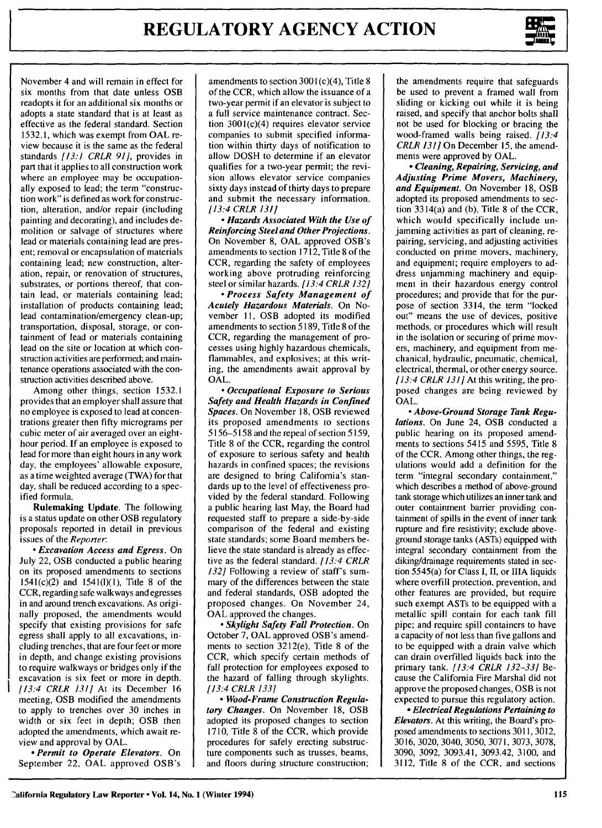

November 4 and will remain in effect for six months from that date unless OSB readopts it for an additional six months or adopts a state standard that is at least as effective as the federal standard. Section 1532.1, which was exempt from OAL review because it is the same as the federal standards *[13:1 CRLR 91],* provides in part that it applies to all construction work where an employee may be occupationally exposed to lead; the term "construction work" is defined as work for construction, alteration, and/or repair (including painting and decorating), and includes demolition or salvage of structures where lead or materials containing lead are present; removal or encapsulation of materials containing lead; new construction, alteration, repair, or renovation of structures, substrates, or portions thereof, that contain lead, or materials containing lead; installation of products containing lead; lead contamination/emergency clean-up; transportation, disposal, storage, or containment of lead or materials containing lead on the site or location at which construction activities are performed; and maintenance operations associated with the construction activities described above.

Among other things, section 1532.1 provides that an employer shall assure that no employee is exposed to lead at concentrations greater then fifty micrograms per cubic meter of air averaged over an eighthour period. If an employee is exposed to lead for more than eight hours in any work day, the employees' allowable exposure, as a time weighted average (TWA) for that day, shall be reduced according to a specified formula.

Rulemaking Update. The following is a status update on other OSB regulatory proposals reported in detail in previous issues of the *Reporter:*

*\* Excavation Access and Egress.* On July 22, OSB conducted a public hearing on its proposed amendments to sections 1541(c)(2) and 1541(l)(1), Title 8 of the CCR, regarding safe walkways and egresses in and around trench excavations. As originally proposed, the amendments would specify that existing provisions for safe egress shall apply to all excavations, including trenches, that are four feet or more in depth, and change existing provisions to require walkways or bridges only if the excavation is six feet or more in depth. [13:4 CRLR 131] At its December 16 meeting, OSB modified the amendments to apply to trenches over 30 inches in width or six feet in depth; OSB then adopted the amendments, which await review and approval by OAL.

*- Permit to Operate Elevators.* On September 22, OAL approved OSB's

amendments to section  $3001(c)(4)$ , Title 8 of the CCR, which allow the issuance of a two-year permit if an elevator is subject to a full service maintenance contract. Section 3001(c)(4) requires elevator service companies to submit specified information within thirty days of notification to allow DOSH to determine if an elevator qualifies for a two-year permit; the revision allows elevator service companies sixty days instead of thirty days to prepare and submit the necessary information. *[13:4 CRLR 131]*

*- Hazards Associated With the Use of Reinforcing Steel and Other Projections.* On November **8, OAL** approved OSB's amendments to section **1712,** Title **8** of the CCR, regarding the safety of employees working above protruding reinforcing steel or similar hazards. *[13:4 CRLR 132]*

*- Process Safety Management of Acutely Hazardous Materials.* On November **11,** OSB adopted its modified amendments to section 5189, Title **8** of the CCR, regarding the management of processes using **highly** hazardous chemicals, flammables, and explosives; at this writing, the amendments await approval **by OAL.**

*\* Occupational Exposure to Serious Safety and Health Hazards in Confined Spaces.* On November **18,** OSB reviewed its proposed amendments to sections **5156-5158** and the repeal of section **5159,** Title **8** of the CCR, regarding the control of exposure to serious safety and health hazards in confined spaces; the revisions are designed to bring California's standards up to the level of effectiveness provided **by** the federal standard. Following a public hearing last May, the Board had requested staff to prepare a side-by-side comparison of the federal and existing state standards; some Board members believe the state standard is already as effective as the federal standard. *[13:4 CRLR 132]* Following a review of staff's summary of the differences between the state and federal standards, OSB adopted the proposed changes. On November 24, **OAL** approved the changes.

*- Skylight Safety Fall Protection.* **On** October **7, OAL** approved OSB's amendments to section 3212(e), Title **8** of the CCR, which specify certain methods of fall protection for employees exposed to the hazard of falling through skylights. [13:4 *CRLR 133]*

*- Wood-Frame Construction Regulatory Changes.* **On November 18, OSB** adopted its proposed changes to section **1710,** Title **8** of the CCR, which provide procedures for safely erecting substructure components such as trusses, beams, and floors during structure construction;

the amendments require that safeguards be used to prevent a framed wall from sliding or kicking out while it is being raised, and specify that anchor bolts shall not be used for blocking or bracing the wood-framed walls being raised. *[13:4 CRLR 131]* On December 15, the amendments were approved by OAL.

*- Cleaning, Repairing, Servicing, and Adjusting Prime Movers, Machinery, and Equipment.* On November **18,** OSB adopted its proposed amendments to section 3314(a) and (b), Title **8** of the CCR, which would specifically include unjamming activities as part of cleaning, repairing, servicing, and adjusting activities conducted on prime movers, machinery, and equipment; require employers to address unjamming machinery and equipment in their hazardous energy control procedures; and provide that for the purpose of section 3314, the term "locked out" means the use of devices, positive methods, or procedures which will result in the isolation or securing of prime movers, machinery, and equipment from mechanical, hydraulic, pneumatic, chemical, electrical, thermal, or other energy source. *[13:4 CRLR 131]* At this writing, the proposed changes are being reviewed **by OAL.**

*- Above-Ground Storage Tank Regulations.* On June 24, OSB conducted a public hearing on its proposed amendments to sections 5415 and 5595, Title **8** of the CCR. Among other things, the regulations would add a definition for the term "integral secondary containment," which describes a method of above-ground tank storage which utilizes an inner tank and outer containment barrier providing containment of spills in the event of inner tank rupture and fire resistivity; exclude aboveground storage tanks (ASTs) equipped with integral secondary containment from the diking/drainage requirements stated in section 5545(a) for Class **I, II,** or **111A** liquids where overfill protection, prevention, and other features are provided, but require such exempt ASTs to be equipped with a metallic spill contain for each tank **fill** pipe; and require spill containers to have a capacity of not less than five gallons and to be equipped with a drain valve which can drain overfilled liquids back into the primary tank. *[13:4 CRLR 132-33]* Because the California Fire Marshal did not approve the proposed changes, OSB is not expected to pursue this regulatory action.

*- Electrical Regulations Pertaining to Elevators.* At this writing, the Board's proposed amendments to sections **3011,3012, 3016, 3020, 3040, 3050, 3071, 3073, 3078, 3090, 3092,** 3093.41, 3093.42, **3100,** and **3112,** Title **8** of the CCR, and sections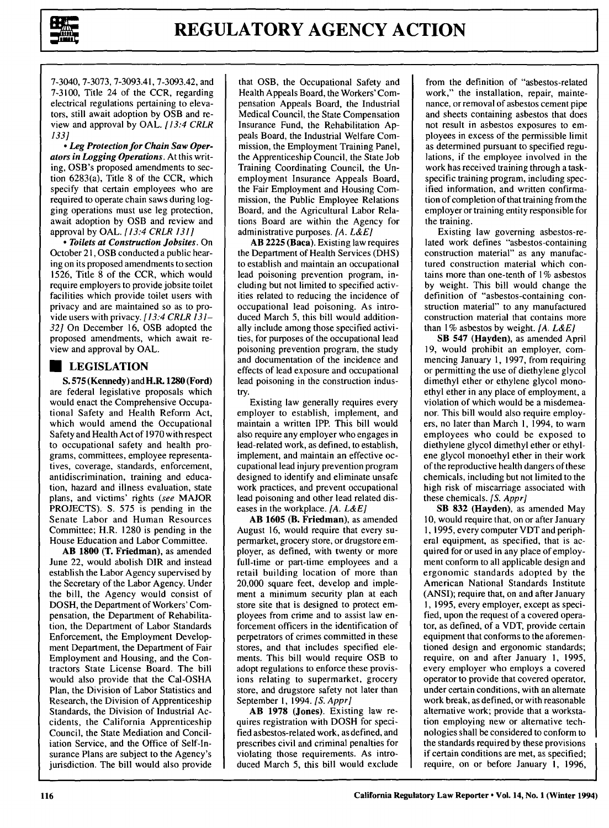

7-3040, 7-3073, 7-3093.41, 7-3093.42, and 7-3100, Title 24 of the CCR, regarding electrical regulations pertaining to elevators, still await adoption by OSB and review and approval by OAL. *[13:4 CRLR 133]*

*- Leg Protection for Chain Saw Operators in Logging Operations.* At this writing, OSB's proposed amendments to section 6283(a), Title 8 of the CCR, which specify that certain employees who are required to operate chain saws during logging operations must use leg protection, await adoption by OSB and review and approval by OAL. *[13:4 CRLR 131]*

*- Toilets at Construction Jobsites.* On October **21,** OSB conducted a public hearing on its proposed amendments to section 1526, Title **8** of the CCR, which would require employers to provide jobsite toilet facilities which provide toilet users with privacy and are maintained so as to provide users with privacy. *[13:4 CRLR 131- 32]* On December **16,** OSB adopted the proposed amendments, which await review and approval **by OAL.**

## **U LEGISLATION**

**S. 575 (Kennedy) and H.R. 1280 (Ford)** are federal legislative proposals which would enact the Comprehensive Occupational Safety and Health Reform Act, which would amend the Occupational Safety and Health Act of **1970** with respect to occupational safety and health programs, committees, employee representatives, coverage, standards, enforcement, antidiscrimination, training and education, hazard and illness evaluation, state plans, and victims' rights *(see* **MAJOR PROJECTS). S. 575** is pending in the Senate Labor and Human Resources Committee; H.R. **1280** is pending in the House Education and Labor Committee.

**AB 1800** (T. Friedman), as amended June 22, would abolish DIR and instead establish the Labor Agency supervised **by** the Secretary of the Labor Agency. Under the bill, the Agency would consist of **DOSH,** the Department of Workers' Compensation, the Department of Rehabilitation, the Department of Labor Standards Enforcement, the Employment Development Department, the Department of Fair Employment and Housing, and the Contractors State License Board. The bill would also provide that the Cal-OSHA Plan, the Division of Labor Statistics and Research, the Division of Apprenticeship Standards, the Division of Industrial Accidents, the California Apprenticeship Council, the State Mediation and Conciliation Service, and the Office of Self-Insurance Plans are subject to the Agency's jurisdiction. The bill would also provide

that OSB, the Occupational Safety and Health Appeals Board, the Workers' Compensation Appeals Board, the Industrial Medical Council, the State Compensation Insurance Fund, the Rehabilitation Appeals Board, the Industrial Welfare Commission, the Employment Training Panel, the Apprenticeship Council, the State Job Training Coordinating Council, the Unemployment Insurance Appeals Board, the Fair Employment and Housing Commission, the Public Employee Relations Board, and the Agricultural Labor Relations Board are within the Agency for administrative purposes. *[A. L&E]*

**AB 2225** (Baca). Existing law requires the Department of Health Services (DHS) to establish and maintain an occupational lead poisoning prevention program, including but not limited to specified activities related to reducing the incidence of occupational lead poisoning. As introduced March 5, this bill would additionally include among those specified activities, for purposes of the occupational lead poisoning prevention program, the study and documentation of the incidence and effects of lead exposure and occupational lead poisoning in the construction industry.

Existing law generally requires every employer to establish, implement, and maintain a written IPP. This bill would also require any employer who engages in lead-related work, as defined, to establish, implement, and maintain an effective occupational lead injury prevention program designed to identify and eliminate unsafe work practices, and prevent occupational lead poisoning and other lead related diseases in the workplace. *[A. L&E]*

**AB 1605** (B. **Friedman),** as amended August **16,** would require that every supermarket, grocery store, or drugstore employer, as defined, with twenty or more full-time or part-time employees and a retail building location of more than 20,000 square feet, develop and implement a minimum security plan at each store site that is designed to protect employees from crime and to assist law enforcement officers in the identification of perpetrators of crimes committed in these stores, and that includes specified elements. This bill would require OSB to adopt regulations to enforce these provisions relating to supermarket, grocery store, and drugstore safety not later than September **1,** 1994. *[S. Appr]*

**AB 1978** (Jones). Existing law requires registration with **DOSH** for specified asbestos-related work, as defined, and prescribes civil and criminal penalties for violating those requirements. As introduced March 5, this bill would exclude

from the definition of "asbestos-related work," the installation, repair, maintenance, or removal of asbestos cement pipe and sheets containing asbestos that does not result in asbestos exposures to employees in excess of the permissible limit as determined pursuant to specified regulations, if the employee involved in the work has received training through a taskspecific training program, including specified information, and written confirmation of completion of that training from the employer or training entity responsible for the training.

Existing law governing asbestos-related work defines "asbestos-containing construction material" as any manufactured construction material which contains more than one-tenth of 1% asbestos by weight. This bill would change the definition of "asbestos-containing construction material" to any manufactured construction material that contains more than 1% asbestos by weight. *[A. L&E]*

SB 547 (Hayden), as amended April 19, would prohibit an employer, commencing January 1, 1997, from requiring or permitting the use of diethylene glycol dimethyl ether or ethylene glycol monoethyl ether in any place of employment, a violation of which would be a misdemeanor. This bill would also require employers, no later than March 1, 1994, to warn employees who could be exposed to diethylene glycol dimethyl ether or ethylene glycol monoethyl ether in their work of the reproductive health dangers of these chemicals, including but not limited to the high risk of miscarriage associated with these chemicals. *[S. Appr]*

SB 832 (Hayden), as amended May 10, would require that, on or after January 1, 1995, every computer VDT and peripheral equipment, as specified, that is acquired for or used in any place of employment conform to all applicable design and ergonomic standards adopted by the American National Standards Institute (ANSI); require that, on and after January **1,** 1995, every employer, except as specified, upon the request of a covered operator, as defined, of a VDT, provide certain equipment that conforms to the aforementioned design and ergonomic standards; require, on and after January 1, 1995, every employer who employs a covered operator to provide that covered operator, under certain conditions, with an alternate work break, as defined, or with reasonable alternative work; provide that a workstation employing new or alternative technologies shall be considered to conform to the standards required by these provisions if certain conditions are met, as specified; require, on or before January I, 1996,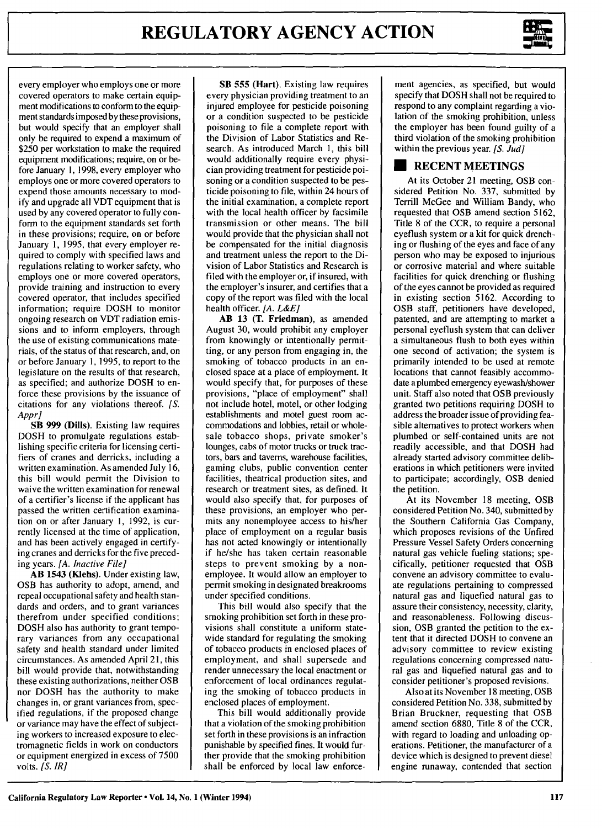

every employer who employs one or more covered operators to make certain equipment modifications to conform to the equipment standards imposed by these provisions, but would specify that an employer shall only be required to expend a maximum of \$250 per workstation to make the required equipment modifications; require, on or before January 1, 1998, every employer who employs one or more covered operators to expend those amounts necessary to modify and upgrade all VDT equipment that is used by any covered operator to fully conform to the equipment standards set forth in these provisions; require, on or before January 1, 1995, that every employer required to comply with specified laws and regulations relating to worker safety, who employs one or more covered operators, provide training and instruction to every covered operator, that includes specified information; require DOSH to monitor ongoing research on VDT radiation emissions and to inform employers, through the use of existing communications materials, of the status of that research, and, on or before January **1,** 1995, to report to the legislature on the results of that research, as specified; and authorize DOSH to enforce these provisions **by** the issuance of citations for any violations thereof. *[S. Appr]*

SB 999 (Dills). Existing law requires DOSH to promulgate regulations establishing specific criteria for licensing certifiers of cranes and derricks, including a written examination. As amended July 16, this bill would permit the Division to waive the written examination for renewal of a certifier's license if the applicant has passed the written certification examination on or after January **1,** 1992, is currently licensed at the time of application, and has been actively engaged in certifying cranes and derricks for the five preceding years. *[A. Inactive File]*

AB 1543 (Klehs). Under existing law, OSB has authority to adopt, amend, and repeal occupational safety and health standards and orders, and to grant variances therefrom under specified conditions; DOSH also has authority to grant temporary variances from any occupational safety and health standard under limited circumstances. As amended April 2 **1,** this bill would provide that, notwithstanding these existing authorizations, neither OSB nor DOSH has the authority to make changes in, or grant variances from, specified regulations, if the proposed change or variance may have the effect of subjecting workers to increased exposure to electromagnetic fields in work on conductors or equipment energized in excess of 7500 volts. *[S. IR]*

**SB 555 (Hart).** Existing **law** requires every physician providing treatment to an injured employee for pesticide poisoning or a condition suspected to be pesticide poisoning to file a complete report with the Division of Labor Statistics and Research. As introduced March 1, this bill would additionally require every physician providing treatment for pesticide poisoning or a condition suspected to be pesticide poisoning to file, within 24 hours of the initial examination, a complete report with the local health officer by facsimile transmission or other means. The bill would provide that the physician shall not be compensated for the initial diagnosis and treatment unless the report to the Division of Labor Statistics and Research is filed with the employer or, if insured, with the employer's insurer, and certifies that a copy of the report was filed with the local health officer. *[A. L&E]*

AB 13 (T. Friedman), as amended August 30, would prohibit any employer from knowingly or intentionally permitting, or any person from engaging in, the smoking of tobacco products in an enclosed space at a place of employment. It would specify that, for purposes of these provisions, "place of employment" shall not include hotel, motel, or other lodging establishments and motel guest room accommodations and lobbies, retail or wholesale tobacco shops, private smoker's lounges, cabs of motor trucks or truck tractors, bars and taverns, warehouse facilities, gaming clubs, public convention center facilities, theatrical production sites, and research or treatment sites, as defined. It would also specify that, for purposes of these provisions, an employer who permits any nonemployee access to his/her place of employment on a regular basis has not acted knowingly or intentionally if he/she has taken certain reasonable steps to prevent smoking by a nonemployee. It would allow an employer to permit smoking in designated breakrooms under specified conditions.

This bill would also specify that the smoking prohibition set forth in these provisions shall constitute a uniform statewide standard for regulating the smoking of tobacco products in enclosed places of employment, and shall supersede and render unnecessary the local enactment or enforcement of local ordinances regulating the smoking of tobacco products in enclosed places of employment.

This bill would additionally provide that a violation of the smoking prohibition set forth in these provisions is an infraction punishable by specified fines. It would further provide that the smoking prohibition shall be enforced by local law enforce-

ment agencies, as specified, but would specify that DOSH shall not be required to respond to any complaint regarding a violation of the smoking prohibition, unless the employer has been found guilty of a third violation of the smoking prohibition within the previous year. *[S. Jud]*

### **\* RECENT MEETINGS**

At its October 21 meeting, OSB considered Petition No. 337, submitted by Terrill McGee and William Bandy, who requested that OSB amend section 5162, Title 8 of the CCR, to require a personal eyeflush system or a kit for quick drenching or flushing of the eyes and face of any person who may be exposed to injurious or corrosive material and where suitable facilities for quick drenching or flushing of the eyes cannot be provided as required in existing section 5162. According to OSB staff, petitioners have developed, patented, and are attempting to market a personal eyeflush system that can deliver a simultaneous flush to both eyes within one second of activation; the system is primarily intended to be used at remote locations that cannot feasibly accommodate a plumbed emergency eyewash/shower unit. Staff also noted that OSB previously granted two petitions requiring DOSH to address the broader issue of providing feasible alternatives to protect workers when plumbed or self-contained units are not readily accessible, and that DOSH had already started advisory committee deliberations in which petitioners were invited to participate; accordingly, OSB denied the petition.

At its November 18 meeting, OSB considered Petition No. 340, submitted by the Southern California Gas Company, which proposes revisions of the Unfired Pressure Vessel Safety Orders concerning natural gas vehicle fueling stations; specifically, petitioner requested that OSB convene an advisory committee to evaluate regulations pertaining to compressed natural gas and liquefied natural gas to assure their consistency, necessity, clarity, and reasonableness. Following discussion, OSB granted the petition to the extent that it directed DOSH to convene an advisory committee to review existing regulations concerning compressed natural gas and liquefied natural gas and to consider petitioner's proposed revisions.

Also at its November 18 meeting, OSB considered Petition No. 338, submitted by Brian Bruckner, requesting that OSB amend section 6880, Title 8 of the CCR, with regard to loading and unloading operations. Petitioner, the manufacturer of a device which is designed to prevent diesel engine runaway, contended that section